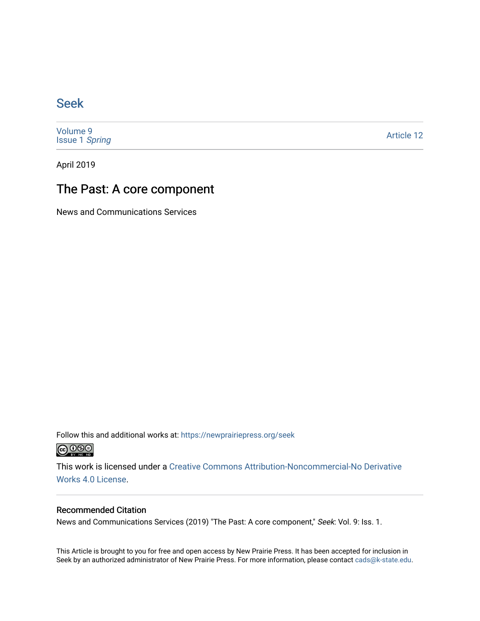## [Seek](https://newprairiepress.org/seek)

[Volume 9](https://newprairiepress.org/seek/vol9) [Issue 1](https://newprairiepress.org/seek/vol9/iss1) Spring

[Article 12](https://newprairiepress.org/seek/vol9/iss1/12) 

April 2019

# The Past: A core component

News and Communications Services

Follow this and additional works at: [https://newprairiepress.org/seek](https://newprairiepress.org/seek?utm_source=newprairiepress.org%2Fseek%2Fvol9%2Fiss1%2F12&utm_medium=PDF&utm_campaign=PDFCoverPages)



This work is licensed under a [Creative Commons Attribution-Noncommercial-No Derivative](https://creativecommons.org/licenses/by-nc-nd/4.0/)  [Works 4.0 License](https://creativecommons.org/licenses/by-nc-nd/4.0/).

### Recommended Citation

News and Communications Services (2019) "The Past: A core component," Seek: Vol. 9: Iss. 1.

This Article is brought to you for free and open access by New Prairie Press. It has been accepted for inclusion in Seek by an authorized administrator of New Prairie Press. For more information, please contact [cads@k-state.edu](mailto:cads@k-state.edu).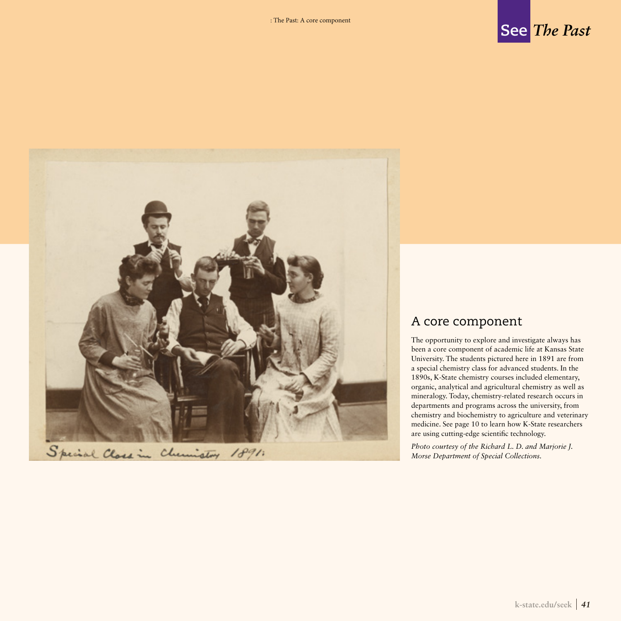



### A core component

The opportunity to explore and investigate always has been a core component of academic life at Kansas State University. The students pictured here in 1891 are from a special chemistry class for advanced students. In the 1890s, K-State chemistry courses included elementary, organic, analytical and agricultural chemistry as well as mineralogy. Today, chemistry-related research occurs in departments and programs across the university, from chemistry and biochemistry to agriculture and veterinary medicine. See page 10 to learn how K-State researchers are using cutting-edge scientific technology.

*Photo courtesy of the Richard L. D. and Marjorie J. Morse Department of Special Collections.*